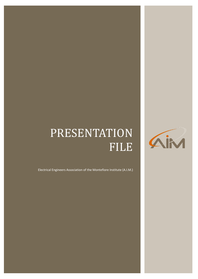# PRESENTATION FILE



Electrical Engineers Association of the Montefiore Institute (A.I.M.)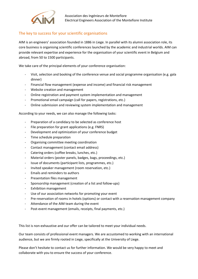

## The key to success for your scientific organisations

AIM is an engineers' association founded in 1886 in Liege. In parallel with its alumni association role, its core business is organising scientific conferences launched by the academic and industrial worlds. AIM can provide relevant expertise and experience for the organisation of your scientific event in Belgium and abroad, from 50 to 1500 participants.

We take care of the principal elements of your conference organisation:

- Visit, selection and booking of the conference venue and social programme organisation (e.g. gala dinner)
- Financial flow management (expense and income) and financial risk management
- Website creation and management
- Online registration and payment system implementation and management
- Promotional email campaign (call for papers, registrations, etc.)
- Online submission and reviewing system implementation and management

According to your needs, we can also manage the following tasks:

- Preparation of a candidacy to be selected as conference host
- File preparation for grant applications (e.g. FNRS)
- Development and optimization of your conference budget
- Time schedule preparation
- Organising committee meeting coordination
- Contact management (contact email address)
- Catering orders (coffee breaks, lunches, etc.)
- Material orders (poster panels, badges, bags, proceedings, etc.)
- Issue of documents (participant lists, programmes, etc.)
- Invited speaker management (room reservation, etc.)
- Emails and reminders to authors
- Presentation files management
- Sponsorship management (creation of a list and follow-ups)
- Exhibition management
- Use of our association networks for promoting your event
- Pre-reservation of rooms in hotels (options) or contact with a reservation management company
- Attendance of the AIM team during the event
- Post-event management (emails, receipts, final payments, etc.)

This list is non-exhaustive and our offer can be tailored to meet your individual needs.

Our team consists of professional event managers. We are accustomed to working with an international audience, but we are firmly rooted in Liege, specifically at the University of Liege.

Please don't hesitate to contact us for further information. We would be very happy to meet and collaborate with you to ensure the success of your conference.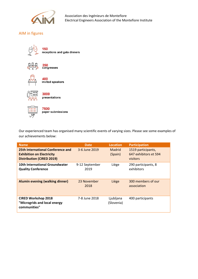

# AIM in figures



150 receptions and gala dinners



250<br>congresses



400<br>invited speakers



3000 presentations



7500 paper submissions

Our experienced team has organised many scientific events of varying sizes. Please see some examples of our achievements below:

| <b>Name</b>                                                                                               | <b>Date</b>            | <b>Location</b>          | <b>Participation</b>                                    |
|-----------------------------------------------------------------------------------------------------------|------------------------|--------------------------|---------------------------------------------------------|
| 25th International Conference and<br><b>Exhibition on Electricity</b><br><b>Distribution (CIRED 2019)</b> | 3-6 June 2019          | <b>Madrid</b><br>(Spain) | 1519 participants,<br>647 exhibitors et 594<br>visitors |
| 10th International Groundwater<br><b>Quality Conference</b>                                               | 9-12 September<br>2019 | Liège                    | 290 participants, 8<br>exhibitors                       |
| Alumin evening (walking dinner)                                                                           | 23 November<br>2018    | Liège                    | 300 members of our<br>association                       |
| <b>CIRED Workshop 2018</b><br>"Microgrids and local energy<br>communities"                                | 7-8 June 2018          | Ljubljana<br>(Slovenia)  | 400 participants                                        |